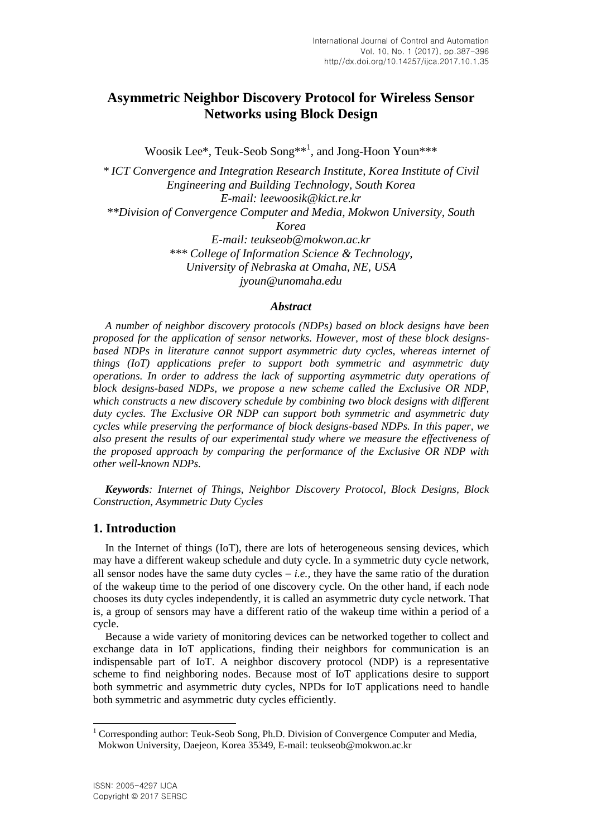# **Asymmetric Neighbor Discovery Protocol for Wireless Sensor Networks using Block Design**

Woosik Lee\*, Teuk-Seob Song\*\*<sup>1</sup> , and Jong-Hoon Youn\*\*\*

*\* ICT Convergence and Integration Research Institute, Korea Institute of Civil Engineering and Building Technology, South Korea E-mail: leewoosik@kict.re.kr \*\*Division of Convergence Computer and Media, Mokwon University, South Korea E-mail: teukseob@mokwon.ac.kr \*\*\* College of Information Science & Technology, University of Nebraska at Omaha, NE, USA jyoun@unomaha.edu*

#### *Abstract*

*A number of neighbor discovery protocols (NDPs) based on block designs have been proposed for the application of sensor networks. However, most of these block designsbased NDPs in literature cannot support asymmetric duty cycles, whereas internet of things (IoT) applications prefer to support both symmetric and asymmetric duty operations. In order to address the lack of supporting asymmetric duty operations of block designs-based NDPs, we propose a new scheme called the Exclusive OR NDP, which constructs a new discovery schedule by combining two block designs with different duty cycles. The Exclusive OR NDP can support both symmetric and asymmetric duty cycles while preserving the performance of block designs-based NDPs. In this paper, we also present the results of our experimental study where we measure the effectiveness of the proposed approach by comparing the performance of the Exclusive OR NDP with other well-known NDPs.* 

*Keywords: Internet of Things, Neighbor Discovery Protocol, Block Designs, Block Construction, Asymmetric Duty Cycles*

#### **1. Introduction**

In the Internet of things (IoT), there are lots of heterogeneous sensing devices, which may have a different wakeup schedule and duty cycle. In a symmetric duty cycle network, all sensor nodes have the same duty cycles  $-$  *i.e.*, they have the same ratio of the duration of the wakeup time to the period of one discovery cycle. On the other hand, if each node chooses its duty cycles independently, it is called an asymmetric duty cycle network. That is, a group of sensors may have a different ratio of the wakeup time within a period of a cycle.

Because a wide variety of monitoring devices can be networked together to collect and exchange data in IoT applications, finding their neighbors for communication is an indispensable part of IoT. A neighbor discovery protocol (NDP) is a representative scheme to find neighboring nodes. Because most of IoT applications desire to support both symmetric and asymmetric duty cycles, NPDs for IoT applications need to handle both symmetric and asymmetric duty cycles efficiently.

l

<sup>&</sup>lt;sup>1</sup> Corresponding author: Teuk-Seob Song, Ph.D. Division of Convergence Computer and Media, Mokwon University, Daejeon, Korea 35349, E-mail: teukseob@mokwon.ac.kr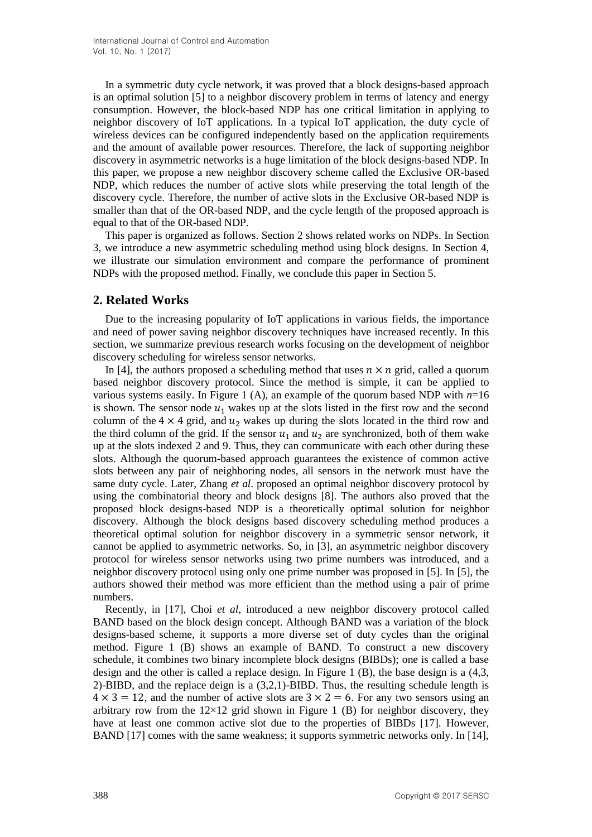In a symmetric duty cycle network, it was proved that a block designs-based approach is an optimal solution [5] to a neighbor discovery problem in terms of latency and energy consumption. However, the block-based NDP has one critical limitation in applying to neighbor discovery of IoT applications. In a typical IoT application, the duty cycle of wireless devices can be configured independently based on the application requirements and the amount of available power resources. Therefore, the lack of supporting neighbor discovery in asymmetric networks is a huge limitation of the block designs-based NDP. In this paper, we propose a new neighbor discovery scheme called the Exclusive OR-based NDP, which reduces the number of active slots while preserving the total length of the discovery cycle. Therefore, the number of active slots in the Exclusive OR-based NDP is smaller than that of the OR-based NDP, and the cycle length of the proposed approach is equal to that of the OR-based NDP.

This paper is organized as follows. Section 2 shows related works on NDPs. In Section 3, we introduce a new asymmetric scheduling method using block designs. In Section 4, we illustrate our simulation environment and compare the performance of prominent NDPs with the proposed method. Finally, we conclude this paper in Section 5.

## **2. Related Works**

Due to the increasing popularity of IoT applications in various fields, the importance and need of power saving neighbor discovery techniques have increased recently. In this section, we summarize previous research works focusing on the development of neighbor discovery scheduling for wireless sensor networks.

In [4], the authors proposed a scheduling method that uses  $n \times n$  grid, called a quorum based neighbor discovery protocol. Since the method is simple, it can be applied to various systems easily. In Figure 1 (A), an example of the quorum based NDP with *n*=16 is shown. The sensor node  $u_1$  wakes up at the slots listed in the first row and the second column of the  $4 \times 4$  grid, and  $u_2$  wakes up during the slots located in the third row and the third column of the grid. If the sensor  $u_1$  and  $u_2$  are synchronized, both of them wake up at the slots indexed 2 and 9. Thus, they can communicate with each other during these slots. Although the quorum-based approach guarantees the existence of common active slots between any pair of neighboring nodes, all sensors in the network must have the same duty cycle. Later, Zhang *et al*. proposed an optimal neighbor discovery protocol by using the combinatorial theory and block designs [8]. The authors also proved that the proposed block designs-based NDP is a theoretically optimal solution for neighbor discovery. Although the block designs based discovery scheduling method produces a theoretical optimal solution for neighbor discovery in a symmetric sensor network, it cannot be applied to asymmetric networks. So, in [3], an asymmetric neighbor discovery protocol for wireless sensor networks using two prime numbers was introduced, and a neighbor discovery protocol using only one prime number was proposed in [5]. In [5], the authors showed their method was more efficient than the method using a pair of prime numbers.

Recently, in [17], Choi *et al*, introduced a new neighbor discovery protocol called BAND based on the block design concept. Although BAND was a variation of the block designs-based scheme, it supports a more diverse set of duty cycles than the original method. Figure 1 (B) shows an example of BAND. To construct a new discovery schedule, it combines two binary incomplete block designs (BIBDs); one is called a base design and the other is called a replace design. In Figure 1 (B), the base design is a (4,3, 2)-BIBD, and the replace deign is a (3,2,1)-BIBD. Thus, the resulting schedule length is  $4 \times 3 = 12$ , and the number of active slots are  $3 \times 2 = 6$ . For any two sensors using an arbitrary row from the  $12\times12$  grid shown in Figure 1 (B) for neighbor discovery, they have at least one common active slot due to the properties of BIBDs [17]. However, BAND [17] comes with the same weakness; it supports symmetric networks only. In [14],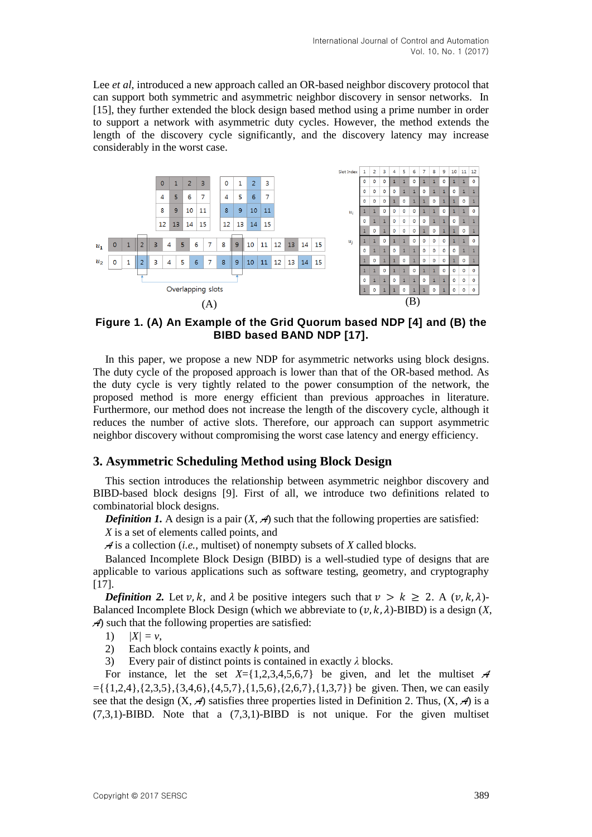Lee *et al*, introduced a new approach called an OR-based neighbor discovery protocol that can support both symmetric and asymmetric neighbor discovery in sensor networks. In [15], they further extended the block design based method using a prime number in order to support a network with asymmetric duty cycles. However, the method extends the length of the discovery cycle significantly, and the discovery latency may increase considerably in the worst case.



**Figure 1. (A) An Example of the Grid Quorum based NDP [4] and (B) the BIBD based BAND NDP [17].**

In this paper, we propose a new NDP for asymmetric networks using block designs. The duty cycle of the proposed approach is lower than that of the OR-based method. As the duty cycle is very tightly related to the power consumption of the network, the proposed method is more energy efficient than previous approaches in literature. Furthermore, our method does not increase the length of the discovery cycle, although it reduces the number of active slots. Therefore, our approach can support asymmetric neighbor discovery without compromising the worst case latency and energy efficiency.

## **3. Asymmetric Scheduling Method using Block Design**

This section introduces the relationship between asymmetric neighbor discovery and BIBD-based block designs [9]. First of all, we introduce two definitions related to combinatorial block designs.

*Definition 1.* A design is a pair  $(X, \mathcal{A})$  such that the following properties are satisfied:

*X* is a set of elements called points, and

*A* is a collection (*i.e.,* multiset) of nonempty subsets of *X* called blocks.

Balanced Incomplete Block Design (BIBD) is a well-studied type of designs that are applicable to various applications such as software testing, geometry, and cryptography  $[17]$ .

*Definition 2.* Let  $v, k$ , and  $\lambda$  be positive integers such that  $v > k \ge 2$ . A  $(v, k, \lambda)$ -Balanced Incomplete Block Design (which we abbreviate to  $(v, k, \lambda)$ -BIBD) is a design  $(X, \lambda)$ *A*) such that the following properties are satisfied:

- 1)  $|X| = v$ ,
- 2) Each block contains exactly *k* points, and

3) Every pair of distinct points is contained in exactly *λ* blocks.

For instance, let the set  $X = \{1,2,3,4,5,6,7\}$  be given, and let the multiset A  $=\{\{1,2,4\},\{2,3,5\},\{3,4,6\},\{4,5,7\},\{1,5,6\},\{2,6,7\},\{1,3,7\}\}\$ be given. Then, we can easily see that the design  $(X, \mathcal{A})$  satisfies three properties listed in Definition 2. Thus,  $(X, \mathcal{A})$  is a  $(7,3,1)$ -BIBD. Note that a  $(7,3,1)$ -BIBD is not unique. For the given multiset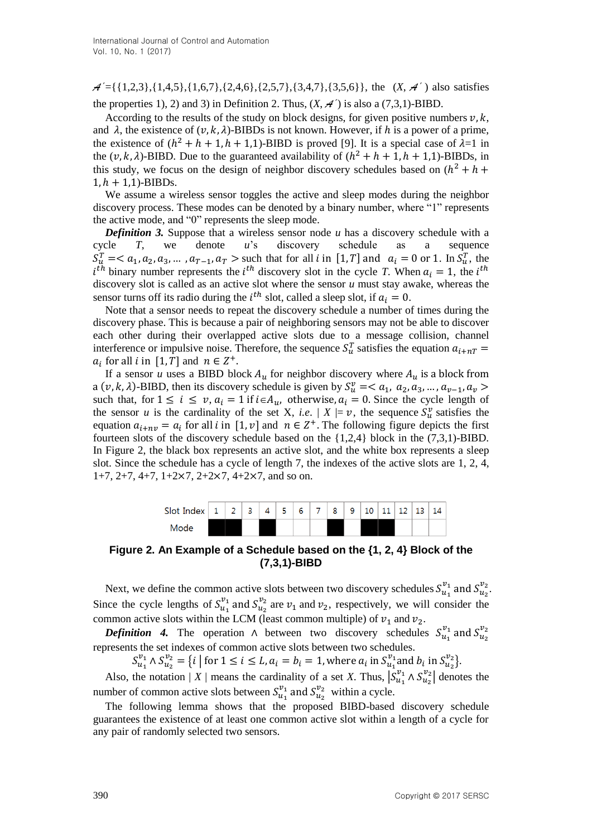$A' = \{\{1,2,3\}, \{1,4,5\}, \{1,6,7\}, \{2,4,6\}, \{2,5,7\}, \{3,4,7\}, \{3,5,6\}\}\$ , the  $(X, A')$  also satisfies the properties 1), 2) and 3) in Definition 2. Thus,  $(X, \mathcal{A}')$  is also a (7,3,1)-BIBD.

According to the results of the study on block designs, for given positive numbers  $v, k$ , and  $\lambda$ , the existence of  $(v, k, \lambda)$ -BIBDs is not known. However, if h is a power of a prime, the existence of  $(h^2 + h + 1, h + 1, 1)$ -BIBD is proved [9]. It is a special case of  $\lambda = 1$  in the  $(v, k, \lambda)$ -BIBD. Due to the guaranteed availability of  $(h^2 + h + 1, h + 1, 1)$ -BIBDs, in this study, we focus on the design of neighbor discovery schedules based on  $(h^2)$  $1, h + 1, 1$ )-BIBDs.

We assume a wireless sensor toggles the active and sleep modes during the neighbor discovery process. These modes can be denoted by a binary number, where "1" represents the active mode, and "0" represents the sleep mode.

*Definition 3.* Suppose that a wireless sensor node *u* has a discovery schedule with a cycle *T*, we denote *u*'s discovery schedule as a sequence  $S_u^T =$  such that for all *i* in [1, *T*] and  $a_i = 0$  or 1. In  $S_u^T$ , the  $i^{th}$  binary number represents the  $i^{th}$  discovery slot in the cycle *T*. When  $a_i = 1$ , the  $i^t$ discovery slot is called as an active slot where the sensor *u* must stay awake, whereas the sensor turns off its radio during the  $i^{th}$  slot, called a sleep slot, if  $a_i = 0$ .

Note that a sensor needs to repeat the discovery schedule a number of times during the discovery phase. This is because a pair of neighboring sensors may not be able to discover each other during their overlapped active slots due to a message collision, channel interference or impulsive noise. Therefore, the sequence  $S_u^T$  satisfies the equation  $a_i$  for all i in [1,  $T$ ] and  $n \in \mathbb{Z}^+$ 

If a sensor *u* uses a BIBD block  $A_u$  for neighbor discovery where  $A_u$  is a block from a  $(v, k, \lambda)$ -BIBD, then its discovery schedule is given by  $S_u^v$ such that, for  $1 \le i \le v$ ,  $a_i = 1$  if  $i \in A_u$ , otherwise,  $a_i = 0$ . Since the cycle length of the sensor *u* is the cardinality of the set X, *i.e.* |  $X \models v$ , the sequence  $S_u^v$  satisfies the equation  $a_{i+nv} = a_i$  for all i in [1, v] and  $n \in \mathbb{Z}^+$ . The following figure depicts the first fourteen slots of the discovery schedule based on the {1,2,4} block in the (7,3,1)-BIBD. In Figure 2, the black box represents an active slot, and the white box represents a sleep slot. Since the schedule has a cycle of length 7, the indexes of the active slots are 1, 2, 4, 1+7, 2+7, 4+7, 1+2 $\times$ 7, 2+2 $\times$ 7, 4+2 $\times$ 7, and so on.



**Figure 2. An Example of a Schedule based on the {1, 2, 4} Block of the (7,3,1)-BIBD**

Next, we define the common active slots between two discovery schedules  $S_{u}^{v_1}$  and  $S_{u_2}^{v_2}$ . Since the cycle lengths of  $S_{u_a}^{v_1}$  and  $S_{u_b}^{v_2}$  are  $v_1$  and  $v_2$ , respectively, we will consider the common active slots within the LCM (least common multiple) of  $v_1$  and  $v_2$ .

**Definition** 4. The operation  $\wedge$  between two discovery schedules  $S_{u_n}^{\nu_1}$  and  $S_{u_n}^{\nu_2}$ represents the set indexes of common active slots between two schedules.

 $S_{u_1}^{v_1} \wedge S_{u_2}^{v_2} = \{i \mid \text{for } 1 \leq i \leq L, a_i = b_i = 1, \text{where } a_i \text{ in } S_{u_1}^{v_1} \text{ and } b_i \text{ in } S_{u_2}^{v_2}\}.$ 

Also, the notation | *X* | means the cardinality of a set *X*. Thus,  $|S_{u_1}^{v_1} \wedge S_{u_2}^{v_2}|$  denotes the number of common active slots between  $S_{u}^{\nu_1}$  and  $S_{u}^{\nu_2}$  within a cycle.

The following lemma shows that the proposed BIBD-based discovery schedule guarantees the existence of at least one common active slot within a length of a cycle for any pair of randomly selected two sensors.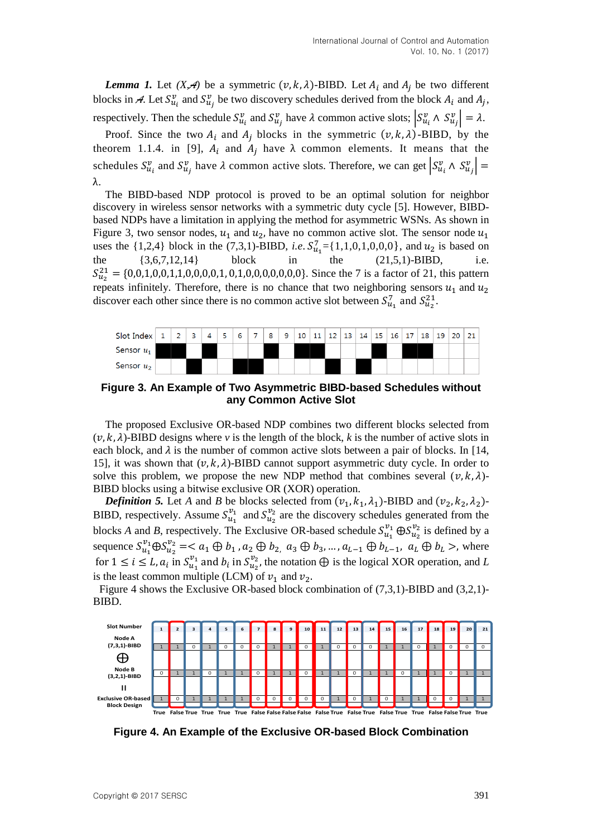*Lemma 1.* Let  $(X, A)$  be a symmetric  $(v, k, \lambda)$ -BIBD. Let  $A_i$  and  $A_j$  be two different blocks in A. Let  $S_{u_i}^v$  and  $S_{u_i}^v$  be two discovery schedules derived from the block  $A_i$  and  $A_i$ , respectively. Then the schedule  $S_{u_i}^v$  and  $S_{u_i}^v$  have  $\lambda$  common active slots;  $|S_{u_i}^v \wedge S_{u_i}^v| = \lambda$ .

Proof. Since the two  $A_i$  and  $A_j$  blocks in the symmetric  $(v, k, \lambda)$ -BIBD, by the theorem 1.1.4. in [9],  $A_i$  and  $A_j$  have  $\lambda$  common elements. It means that the schedules  $S_{u_i}^v$  and  $S_{u_i}^v$  have  $\lambda$  common active slots. Therefore, we can get  $|S_{u_i}^v \wedge S_{u_i}^v|$  =  $\lambda$ .

The BIBD-based NDP protocol is proved to be an optimal solution for neighbor discovery in wireless sensor networks with a symmetric duty cycle [5]. However, BIBDbased NDPs have a limitation in applying the method for asymmetric WSNs. As shown in Figure 3, two sensor nodes,  $u_1$  and  $u_2$ , have no common active slot. The sensor node  $u_1$ uses the {1,2,4} block in the (7,3,1)-BIBD, *i.e.*  $S_{u_1}^7 = \{1,1,0,1,0,0,0\}$ , and  $u_2$  is based on the  $\{3,6,7,12,14\}$  block in the  $(21,5,1)$ -BIBD, i.e.  $S_{u_2}^{21} = \{0, 0, 1, 0, 0, 1, 1, 0, 0, 0, 0, 1, 0, 1, 0, 0, 0, 0, 0, 0, 0\}$ . Since the 7 is a factor of 21, this pattern repeats infinitely. Therefore, there is no chance that two neighboring sensors  $u_1$  and  $u_2$ discover each other since there is no common active slot between  $S_{u_1}^7$  and  $S_{u_2}^{21}$ .



**Figure 3. An Example of Two Asymmetric BIBD-based Schedules without any Common Active Slot**

The proposed Exclusive OR-based NDP combines two different blocks selected from  $(v, k, \lambda)$ -BIBD designs where *v* is the length of the block, *k* is the number of active slots in each block, and  $\lambda$  is the number of common active slots between a pair of blocks. In [14, 15], it was shown that  $(v, k, \lambda)$ -BIBD cannot support asymmetric duty cycle. In order to solve this problem, we propose the new NDP method that combines several  $(v, k, \lambda)$ -BIBD blocks using a bitwise exclusive OR (XOR) operation.

**Definition 5.** Let A and B be blocks selected from  $(v_1, k_1, \lambda_1)$ -BIBD and  $(v_2, k_2, \lambda_2)$ -BIBD, respectively. Assume  $S_{u_a}^{v_1}$  and  $S_{u_b}^{v_2}$  are the discovery schedules generated from the blocks *A* and *B*, respectively. The Exclusive OR-based schedule  $S_{u_1}^{v_1} \oplus S_{u_2}^{v_2}$  is defined by a sequence  $S_{u_1}^{v_1} \oplus S_{u_2}^{v_2} = \langle a_1 \oplus b_1, a_2 \oplus b_2, a_3 \oplus b_3, ..., a_{L-1} \oplus b_{L-1}, a_L \oplus b_L \rangle$ , where for  $1 \le i \le L$ ,  $a_i$  in  $S_{u_i}^{v_1}$  and  $b_i$  in  $S_{u_i}^{v_2}$ , the notation  $\bigoplus$  is the logical XOR operation, and L is the least common multiple (LCM) of  $v_1$  and  $v_2$ .

Figure 4 shows the Exclusive OR-based block combination of (7,3,1)-BIBD and (3,2,1)- BIBD.



**Figure 4. An Example of the Exclusive OR-based Block Combination**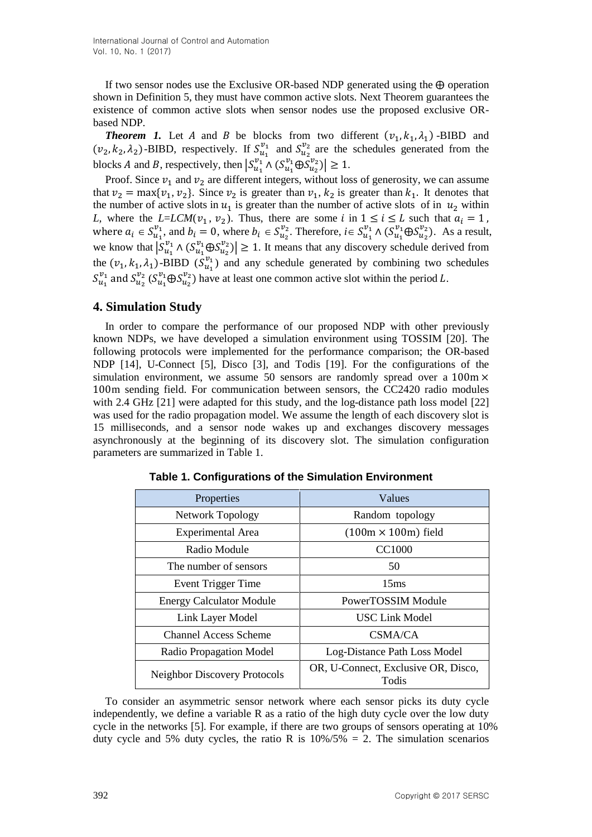International Journal of Control and Automation Vol. 10, No. 1 (2017)

If two sensor nodes use the Exclusive OR-based NDP generated using the  $\oplus$  operation shown in Definition 5, they must have common active slots. Next Theorem guarantees the existence of common active slots when sensor nodes use the proposed exclusive ORbased NDP.

**Theorem 1.** Let A and B be blocks from two different  $(v_1, k_1, \lambda_1)$  -BIBD and  $(v_2, k_2, \lambda_2)$ -BIBD, respectively. If  $S_{u_1}^{v_1}$  and  $S_{u_2}^{v_2}$  are the schedules generated from the blocks A and B, respectively, then  $|S_{u_1}^{v_1} \wedge (S_{u_2}^{v_1} \oplus S_{u_2}^{v_2})| \ge 1$ .

Proof. Since  $v_1$  and  $v_2$  are different integers, without loss of generosity, we can assume that  $v_2 = \max\{v_1, v_2\}$ . Since  $v_2$  is greater than  $v_1, k_2$  is greater than  $k_1$ . It denotes that the number of active slots in  $u_1$  is greater than the number of active slots of in  $u_2$  within *L*, where the *L*=*LCM*( $v_1$ ,  $v_2$ ). Thus, there are some *i* in  $1 \le i \le L$  such that where  $a_i \in S_{u_i}^{v_1}$ , and  $b_i = 0$ , where  $b_i \in S_{u_i}^{v_2}$ . Therefore,  $i \in S_{u_i}^{v_1} \wedge (S_{u_i}^{v_1} \oplus S_{u_i}^{v_2})$ . As a result, we know that  $|S_{u_1}^{v_1} \wedge (S_{u_2}^{v_1} \oplus S_{u_3}^{v_2})| \ge 1$ . It means that any discovery schedule derived from the  $(v_1, k_1, \lambda_1)$ -BIBD  $(\overline{S}_{u_1}^{v_1})$  and any schedule generated by combining two schedules  $S_{u_1}^{v_1}$  and  $S_{u_2}^{v_2}$  ( $S_{u_1}^{v_1} \oplus S_{u_2}^{v_2}$ ) have at least one common active slot within the period L.

## **4. Simulation Study**

In order to compare the performance of our proposed NDP with other previously known NDPs, we have developed a simulation environment using TOSSIM [20]. The following protocols were implemented for the performance comparison; the OR-based NDP [14], U-Connect [5], Disco [3], and Todis [19]. For the configurations of the simulation environment, we assume 50 sensors are randomly spread over a  $100m \times$ 100m sending field. For communication between sensors, the CC2420 radio modules with 2.4 GHz [21] were adapted for this study, and the log-distance path loss model [22] was used for the radio propagation model. We assume the length of each discovery slot is 15 milliseconds, and a sensor node wakes up and exchanges discovery messages asynchronously at the beginning of its discovery slot. The simulation configuration parameters are summarized in Table 1.

| Properties                          | Values                                       |  |  |
|-------------------------------------|----------------------------------------------|--|--|
| <b>Network Topology</b>             | Random topology                              |  |  |
| <b>Experimental Area</b>            | $(100m \times 100m)$ field                   |  |  |
| Radio Module                        | <b>CC1000</b>                                |  |  |
| The number of sensors               | 50                                           |  |  |
| Event Trigger Time                  | 15 <sub>ms</sub>                             |  |  |
| <b>Energy Calculator Module</b>     | PowerTOSSIM Module                           |  |  |
| Link Layer Model                    | <b>USC Link Model</b>                        |  |  |
| <b>Channel Access Scheme</b>        | CSMA/CA                                      |  |  |
| Radio Propagation Model             | Log-Distance Path Loss Model                 |  |  |
| <b>Neighbor Discovery Protocols</b> | OR, U-Connect, Exclusive OR, Disco,<br>Todis |  |  |

**Table 1. Configurations of the Simulation Environment**

To consider an asymmetric sensor network where each sensor picks its duty cycle independently, we define a variable R as a ratio of the high duty cycle over the low duty cycle in the networks [5]. For example, if there are two groups of sensors operating at 10% duty cycle and 5% duty cycles, the ratio R is  $10\%/5\% = 2$ . The simulation scenarios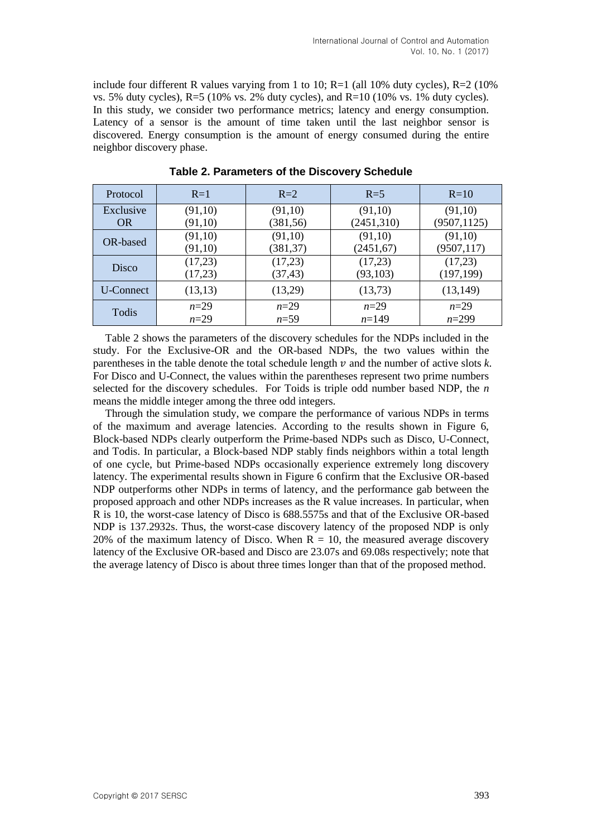include four different R values varying from 1 to 10;  $R=1$  (all 10% duty cycles),  $R=2$  (10%) vs. 5% duty cycles),  $R=5$  (10% vs. 2% duty cycles), and  $R=10$  (10% vs. 1% duty cycles). In this study, we consider two performance metrics; latency and energy consumption. Latency of a sensor is the amount of time taken until the last neighbor sensor is discovered. Energy consumption is the amount of energy consumed during the entire neighbor discovery phase.

| Protocol         | $R=1$   | $R=2$     | $R = 5$    | $R=10$       |
|------------------|---------|-----------|------------|--------------|
| Exclusive        | (91,10) | (91,10)   | (91,10)    | (91,10)      |
| <b>OR</b>        | (91,10) | (381, 56) | (2451,310) | (9507, 1125) |
| OR-based         | (91,10) | (91,10)   | (91,10)    | (91,10)      |
|                  | (91,10) | (381, 37) | (2451,67)  | (9507, 117)  |
| Disco            | (17,23) | (17,23)   | (17,23)    | (17,23)      |
|                  | (17,23) | (37, 43)  | (93, 103)  | (197, 199)   |
| <b>U-Connect</b> | (13,13) | (13,29)   | (13,73)    | (13, 149)    |
| Todis            | $n=29$  | $n=29$    | $n=29$     | $n=29$       |
|                  | $n=29$  | $n = 59$  | $n=149$    | $n=299$      |

**Table 2. Parameters of the Discovery Schedule**

Table 2 shows the parameters of the discovery schedules for the NDPs included in the study. For the Exclusive-OR and the OR-based NDPs, the two values within the parentheses in the table denote the total schedule length  $\nu$  and the number of active slots  $k$ . For Disco and U-Connect, the values within the parentheses represent two prime numbers selected for the discovery schedules. For Toids is triple odd number based NDP, the *n*  means the middle integer among the three odd integers.

Through the simulation study, we compare the performance of various NDPs in terms of the maximum and average latencies. According to the results shown in Figure 6, Block-based NDPs clearly outperform the Prime-based NDPs such as Disco, U-Connect, and Todis. In particular, a Block-based NDP stably finds neighbors within a total length of one cycle, but Prime-based NDPs occasionally experience extremely long discovery latency. The experimental results shown in Figure 6 confirm that the Exclusive OR-based NDP outperforms other NDPs in terms of latency, and the performance gab between the proposed approach and other NDPs increases as the R value increases. In particular, when R is 10, the worst-case latency of Disco is 688.5575s and that of the Exclusive OR-based NDP is 137.2932s. Thus, the worst-case discovery latency of the proposed NDP is only 20% of the maximum latency of Disco. When  $R = 10$ , the measured average discovery latency of the Exclusive OR-based and Disco are 23.07s and 69.08s respectively; note that the average latency of Disco is about three times longer than that of the proposed method.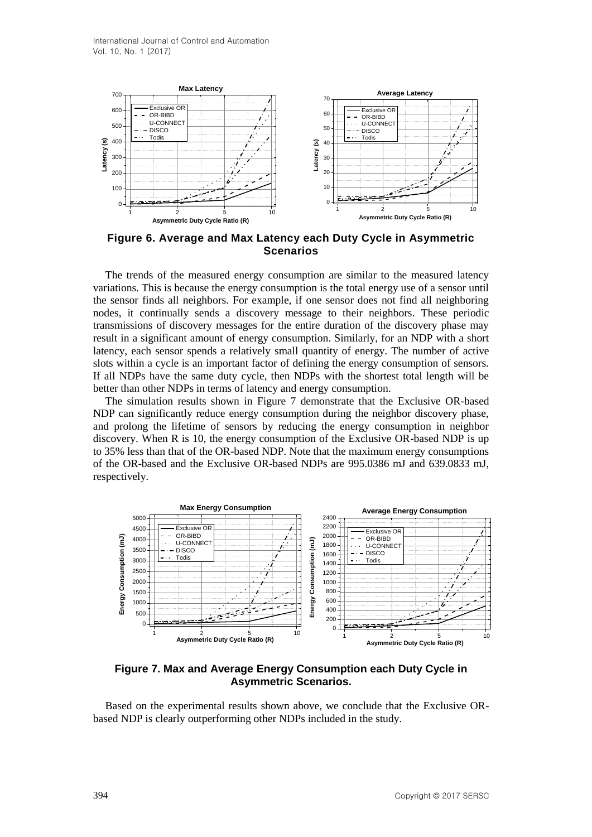

**Figure 6. Average and Max Latency each Duty Cycle in Asymmetric Scenarios**

The trends of the measured energy consumption are similar to the measured latency variations. This is because the energy consumption is the total energy use of a sensor until the sensor finds all neighbors. For example, if one sensor does not find all neighboring nodes, it continually sends a discovery message to their neighbors. These periodic transmissions of discovery messages for the entire duration of the discovery phase may result in a significant amount of energy consumption. Similarly, for an NDP with a short latency, each sensor spends a relatively small quantity of energy. The number of active slots within a cycle is an important factor of defining the energy consumption of sensors. If all NDPs have the same duty cycle, then NDPs with the shortest total length will be better than other NDPs in terms of latency and energy consumption.

The simulation results shown in Figure 7 demonstrate that the Exclusive OR-based NDP can significantly reduce energy consumption during the neighbor discovery phase, and prolong the lifetime of sensors by reducing the energy consumption in neighbor discovery. When R is 10, the energy consumption of the Exclusive OR-based NDP is up to 35% less than that of the OR-based NDP. Note that the maximum energy consumptions of the OR-based and the Exclusive OR-based NDPs are 995.0386 mJ and 639.0833 mJ, respectively.



**Figure 7. Max and Average Energy Consumption each Duty Cycle in Asymmetric Scenarios.**

Based on the experimental results shown above, we conclude that the Exclusive ORbased NDP is clearly outperforming other NDPs included in the study.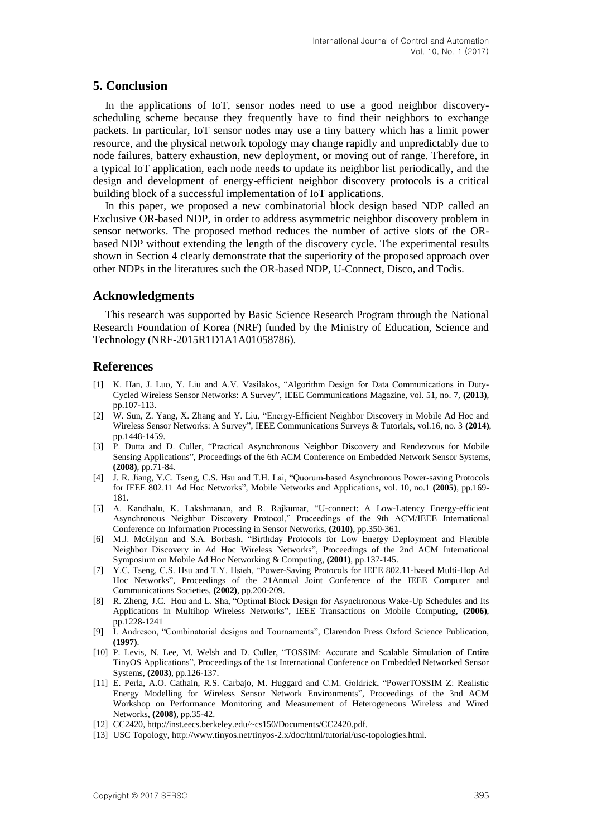## **5. Conclusion**

In the applications of IoT, sensor nodes need to use a good neighbor discoveryscheduling scheme because they frequently have to find their neighbors to exchange packets. In particular, IoT sensor nodes may use a tiny battery which has a limit power resource, and the physical network topology may change rapidly and unpredictably due to node failures, battery exhaustion, new deployment, or moving out of range. Therefore, in a typical IoT application, each node needs to update its neighbor list periodically, and the design and development of energy-efficient neighbor discovery protocols is a critical building block of a successful implementation of IoT applications.

In this paper, we proposed a new combinatorial block design based NDP called an Exclusive OR-based NDP, in order to address asymmetric neighbor discovery problem in sensor networks. The proposed method reduces the number of active slots of the ORbased NDP without extending the length of the discovery cycle. The experimental results shown in Section 4 clearly demonstrate that the superiority of the proposed approach over other NDPs in the literatures such the OR-based NDP, U-Connect, Disco, and Todis.

## **Acknowledgments**

This research was supported by Basic Science Research Program through the National Research Foundation of Korea (NRF) funded by the Ministry of Education, Science and Technology (NRF-2015R1D1A1A01058786).

# **References**

- [1] K. Han, J. Luo, Y. Liu and A.V. Vasilakos, "Algorithm Design for Data Communications in Duty-Cycled Wireless Sensor Networks: A Survey", IEEE Communications Magazine, vol. 51, no. 7, **(2013)**, pp.107-113.
- [2] W. Sun, Z. Yang, X. Zhang and Y. Liu, "Energy-Efficient Neighbor Discovery in Mobile Ad Hoc and Wireless Sensor Networks: A Survey", IEEE Communications Surveys & Tutorials, vol.16, no. 3 **(2014)**, pp.1448-1459.
- [3] P. Dutta and D. Culler, "Practical Asynchronous Neighbor Discovery and Rendezvous for Mobile Sensing Applications", Proceedings of the 6th ACM Conference on Embedded Network Sensor Systems, **(2008)**, pp.71-84.
- [4] J. R. Jiang, Y.C. Tseng, C.S. Hsu and T.H. Lai, "Quorum-based Asynchronous Power-saving Protocols for IEEE 802.11 Ad Hoc Networks", Mobile Networks and Applications, vol. 10, no.1 **(2005)**, pp.169- 181.
- [5] A. Kandhalu, K. Lakshmanan, and R. Rajkumar, "U-connect: A Low-Latency Energy-efficient Asynchronous Neighbor Discovery Protocol," Proceedings of the 9th ACM/IEEE International Conference on Information Processing in Sensor Networks, **(2010)**, pp.350-361.
- [6] M.J. McGlynn and S.A. Borbash, "Birthday Protocols for Low Energy Deployment and Flexible Neighbor Discovery in Ad Hoc Wireless Networks", Proceedings of the 2nd ACM International Symposium on Mobile Ad Hoc Networking & Computing, **(2001)**, pp.137-145.
- [7] Y.C. Tseng, C.S. Hsu and T.Y. Hsieh, "Power-Saving Protocols for IEEE 802.11-based Multi-Hop Ad Hoc Networks", Proceedings of the 21Annual Joint Conference of the IEEE Computer and Communications Societies, **(2002)**, pp.200-209.
- [8] R. Zheng, J.C. Hou and L. Sha, "Optimal Block Design for Asynchronous Wake-Up Schedules and Its Applications in Multihop Wireless Networks", IEEE Transactions on Mobile Computing, **(2006)**, pp.1228-1241
- [9] I. Andreson, "Combinatorial designs and Tournaments", Clarendon Press Oxford Science Publication, **(1997)**.
- [10] P. Levis, N. Lee, M. Welsh and D. Culler, "TOSSIM: Accurate and Scalable Simulation of Entire TinyOS Applications", Proceedings of the 1st International Conference on Embedded Networked Sensor Systems, **(2003)**, pp.126-137.
- [11] E. Perla, A.O. Cathain, R.S. Carbajo, M. Huggard and C.M. Goldrick, "PowerTOSSIM Z: Realistic Energy Modelling for Wireless Sensor Network Environments", Proceedings of the 3nd ACM Workshop on Performance Monitoring and Measurement of Heterogeneous Wireless and Wired Networks, **(2008)**, pp.35-42.
- [12] CC2420, http://inst.eecs.berkeley.edu/~cs150/Documents/CC2420.pdf.
- [13] USC Topology, http://www.tinyos.net/tinyos-2.x/doc/html/tutorial/usc-topologies.html.